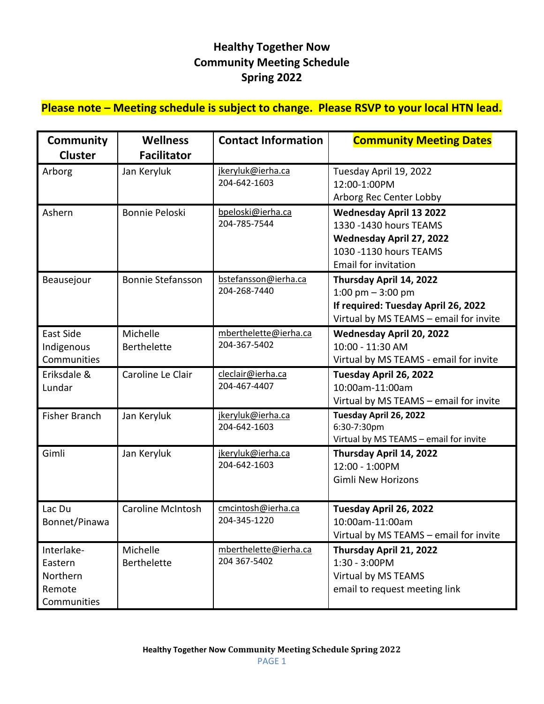## **Healthy Together Now Community Meeting Schedule Spring 2022**

## **Please note – Meeting schedule is subject to change. Please RSVP to your local HTN lead.**

| <b>Community</b><br><b>Cluster</b>                         | <b>Wellness</b><br><b>Facilitator</b> | <b>Contact Information</b>            | <b>Community Meeting Dates</b>                                                                                                                 |
|------------------------------------------------------------|---------------------------------------|---------------------------------------|------------------------------------------------------------------------------------------------------------------------------------------------|
| Arborg                                                     | Jan Keryluk                           | jkeryluk@ierha.ca<br>204-642-1603     | Tuesday April 19, 2022<br>12:00-1:00PM<br>Arborg Rec Center Lobby                                                                              |
| Ashern                                                     | Bonnie Peloski                        | bpeloski@ierha.ca<br>204-785-7544     | <b>Wednesday April 13 2022</b><br>1330 - 1430 hours TEAMS<br>Wednesday April 27, 2022<br>1030 -1130 hours TEAMS<br><b>Email for invitation</b> |
| Beausejour                                                 | <b>Bonnie Stefansson</b>              | bstefansson@ierha.ca<br>204-268-7440  | Thursday April 14, 2022<br>1:00 pm $-$ 3:00 pm<br>If required: Tuesday April 26, 2022<br>Virtual by MS TEAMS - email for invite                |
| East Side<br>Indigenous<br>Communities                     | Michelle<br><b>Berthelette</b>        | mberthelette@ierha.ca<br>204-367-5402 | Wednesday April 20, 2022<br>10:00 - 11:30 AM<br>Virtual by MS TEAMS - email for invite                                                         |
| Eriksdale &<br>Lundar                                      | Caroline Le Clair                     | cleclair@ierha.ca<br>204-467-4407     | Tuesday April 26, 2022<br>10:00am-11:00am<br>Virtual by MS TEAMS - email for invite                                                            |
| Fisher Branch                                              | Jan Keryluk                           | jkeryluk@ierha.ca<br>204-642-1603     | Tuesday April 26, 2022<br>6:30-7:30pm<br>Virtual by MS TEAMS - email for invite                                                                |
| Gimli                                                      | Jan Keryluk                           | jkeryluk@ierha.ca<br>204-642-1603     | Thursday April 14, 2022<br>12:00 - 1:00PM<br><b>Gimli New Horizons</b>                                                                         |
| Lac Du<br>Bonnet/Pinawa                                    | <b>Caroline McIntosh</b>              | cmcintosh@ierha.ca<br>204-345-1220    | Tuesday April 26, 2022<br>10:00am-11:00am<br>Virtual by MS TEAMS - email for invite                                                            |
| Interlake-<br>Eastern<br>Northern<br>Remote<br>Communities | Michelle<br><b>Berthelette</b>        | mberthelette@ierha.ca<br>204 367-5402 | Thursday April 21, 2022<br>1:30 - 3:00PM<br>Virtual by MS TEAMS<br>email to request meeting link                                               |